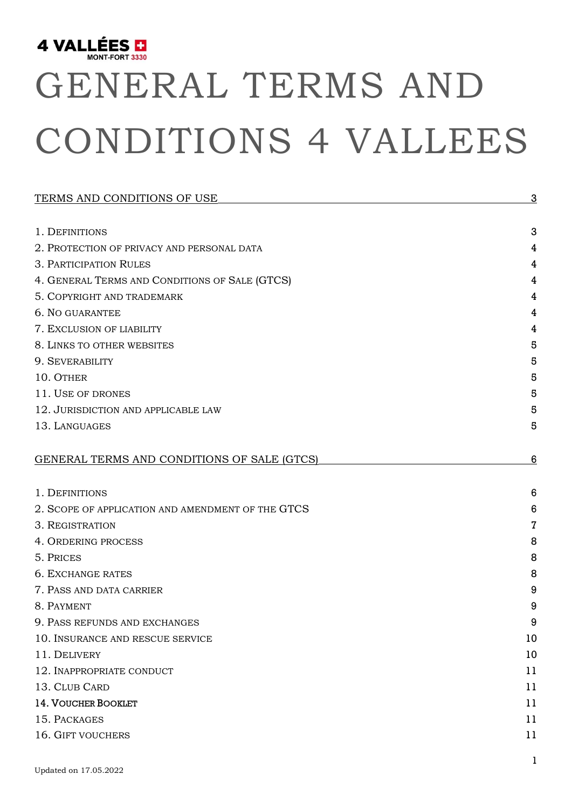

# GENERAL TERMS AND CONDITIONS 4 VALLEES

| TERMS AND CONDITIONS OF USE                       | $\overline{3}$  |
|---------------------------------------------------|-----------------|
|                                                   |                 |
| 1. DEFINITIONS                                    | 3               |
| 2. PROTECTION OF PRIVACY AND PERSONAL DATA        | 4               |
| 3. PARTICIPATION RULES                            | 4               |
| 4. GENERAL TERMS AND CONDITIONS OF SALE (GTCS)    | 4               |
| 5. COPYRIGHT AND TRADEMARK                        | 4               |
| 6. NO GUARANTEE                                   | 4               |
| 7. EXCLUSION OF LIABILITY                         | 4               |
| 8. LINKS TO OTHER WEBSITES                        | 5               |
| 9. SEVERABILITY                                   | 5               |
| 10. OTHER                                         | 5               |
| 11. USE OF DRONES                                 | 5               |
| 12. JURISDICTION AND APPLICABLE LAW               | 5               |
| 13. LANGUAGES                                     | 5               |
| GENERAL TERMS AND CONDITIONS OF SALE (GTCS)       | 6               |
| 1. DEFINITIONS                                    | $6\phantom{1}6$ |
| 2. SCOPE OF APPLICATION AND AMENDMENT OF THE GTCS | 6               |
| 3. REGISTRATION                                   | 7               |
| 4. ORDERING PROCESS                               | 8               |
| 5. PRICES                                         | 8               |
| <b>6. EXCHANGE RATES</b>                          | 8               |
| 7. PASS AND DATA CARRIER                          | 9               |
| 8. PAYMENT                                        | 9               |
| 9. PASS REFUNDS AND EXCHANGES                     | 9               |
| 10. INSURANCE AND RESCUE SERVICE                  | 10              |
| 11. DELIVERY                                      | 10              |
| 12. INAPPROPRIATE CONDUCT                         | 11              |
| 13. CLUB CARD                                     | 11              |
| 14. VOUCHER BOOKLET                               | 11              |
| 15. PACKAGES                                      | 11              |
| 16. GIFT VOUCHERS                                 | 11              |
|                                                   | 1               |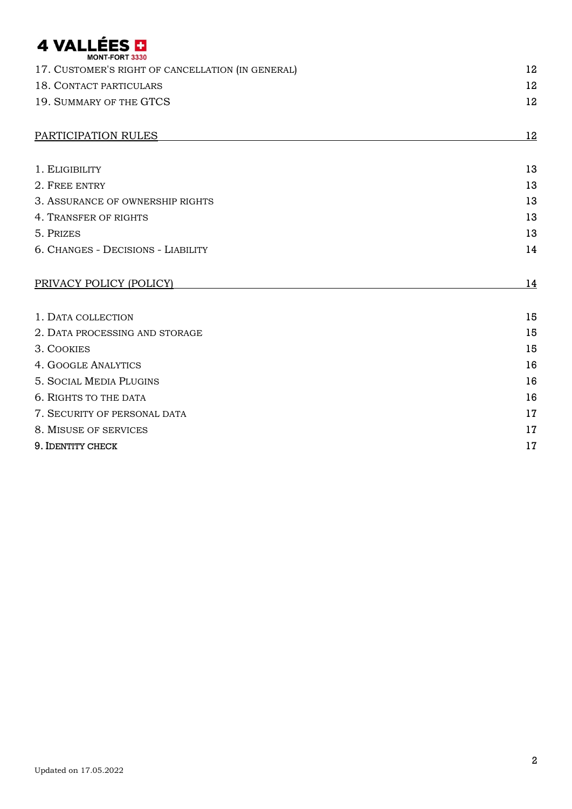# 4 VALLÉES **D**

| <b>MONT-FORT 3330</b>                             |           |
|---------------------------------------------------|-----------|
| 17. CUSTOMER'S RIGHT OF CANCELLATION (IN GENERAL) | 12        |
| 18. CONTACT PARTICULARS                           | 12        |
| 19. SUMMARY OF THE GTCS                           | 12        |
| PARTICIPATION RULES                               | 12        |
| 1. ELIGIBILITY                                    | 13        |
| 2. FREE ENTRY                                     | 13        |
| 3. ASSURANCE OF OWNERSHIP RIGHTS                  | 13        |
| 4. TRANSFER OF RIGHTS                             | 13        |
| 5. PRIZES                                         | 13        |
| 6. CHANGES - DECISIONS - LIABILITY                | 14        |
| PRIVACY POLICY (POLICY)                           | <u>14</u> |
| 1. DATA COLLECTION                                | 15        |
| 2. DATA PROCESSING AND STORAGE                    | 15        |
| 3. COOKIES                                        | 15        |
| <b>4. GOOGLE ANALYTICS</b>                        | 16        |
| <b>5. SOCIAL MEDIA PLUGINS</b>                    | 16        |
| <b>6. RIGHTS TO THE DATA</b>                      | 16        |
| 7. SECURITY OF PERSONAL DATA                      | 17        |
| 8. MISUSE OF SERVICES                             | 17        |
| 9. IDENTITY CHECK                                 | 17        |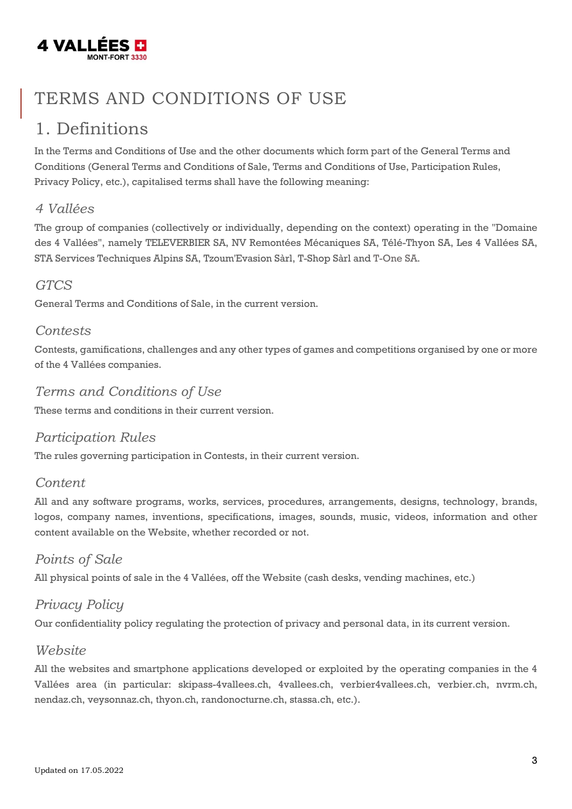

### <span id="page-2-0"></span>TERMS AND CONDITIONS OF USE

#### <span id="page-2-1"></span>1. Definitions

In the Terms and Conditions of Use and the other documents which form part of the General Terms and Conditions (General Terms and Conditions of Sale, Terms and Conditions of Use, Participation Rules, Privacy Policy, etc.), capitalised terms shall have the following meaning:

#### *4 Vallées*

The group of companies (collectively or individually, depending on the context) operating in the "Domaine des 4 Vallées", namely TELEVERBIER SA, NV Remontées Mécaniques SA, Télé-Thyon SA, Les 4 Vallées SA, STA Services Techniques Alpins SA, Tzoum'Evasion Sàrl, T-Shop Sàrl and T-One SA.

#### *GTCS*

General Terms and Conditions of Sale, in the current version.

#### *Contests*

Contests, gamifications, challenges and any other types of games and competitions organised by one or more of the 4 Vallées companies.

#### *Terms and Conditions of Use*

These terms and conditions in their current version.

#### *Participation Rules*

The rules governing participation in Contests, in their current version.

#### *Content*

All and any software programs, works, services, procedures, arrangements, designs, technology, brands, logos, company names, inventions, specifications, images, sounds, music, videos, information and other content available on the Website, whether recorded or not.

#### *Points of Sale*

All physical points of sale in the 4 Vallées, off the Website (cash desks, vending machines, etc.)

#### *Privacy Policy*

Our confidentiality policy regulating the protection of privacy and personal data, in its current version.

#### *Website*

All the websites and smartphone applications developed or exploited by the operating companies in the 4 Vallées area (in particular: skipass-4vallees.ch, 4vallees.ch, verbier4vallees.ch, verbier.ch, nvrm.ch, nendaz.ch, veysonnaz.ch, thyon.ch, randonocturne.ch, stassa.ch, etc.).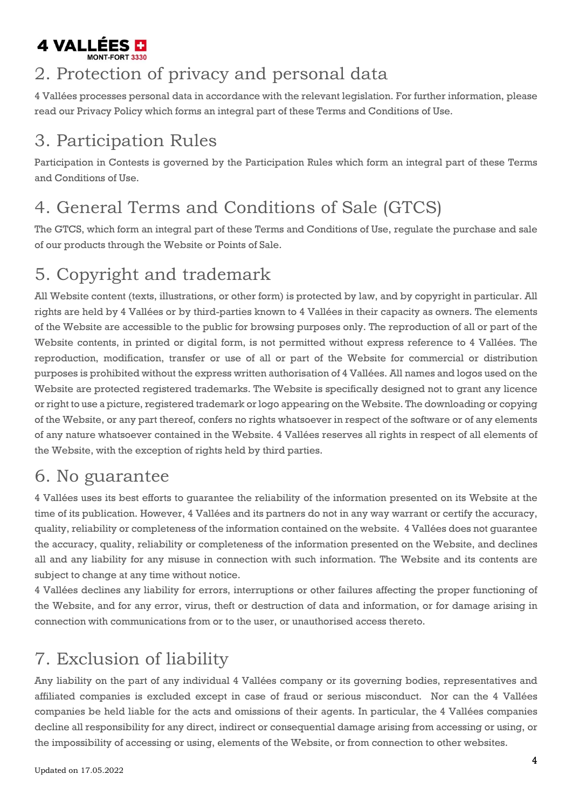

#### <span id="page-3-0"></span>2. Protection of privacy and personal data

4 Vallées processes personal data in accordance with the relevant legislation. For further information, please read our Privacy Policy which forms an integral part of these Terms and Conditions of Use.

### <span id="page-3-1"></span>3. Participation Rules

Participation in Contests is governed by the Participation Rules which form an integral part of these Terms and Conditions of Use.

### <span id="page-3-2"></span>4. General Terms and Conditions of Sale (GTCS)

The GTCS, which form an integral part of these Terms and Conditions of Use, regulate the purchase and sale of our products through the Website or Points of Sale.

### <span id="page-3-3"></span>5. Copyright and trademark

All Website content (texts, illustrations, or other form) is protected by law, and by copyright in particular. All rights are held by 4 Vallées or by third-parties known to 4 Vallées in their capacity as owners. The elements of the Website are accessible to the public for browsing purposes only. The reproduction of all or part of the Website contents, in printed or digital form, is not permitted without express reference to 4 Vallées. The reproduction, modification, transfer or use of all or part of the Website for commercial or distribution purposes is prohibited without the express written authorisation of 4 Vallées. All names and logos used on the Website are protected registered trademarks. The Website is specifically designed not to grant any licence or right to use a picture, registered trademark or logo appearing on the Website. The downloading or copying of the Website, or any part thereof, confers no rights whatsoever in respect of the software or of any elements of any nature whatsoever contained in the Website. 4 Vallées reserves all rights in respect of all elements of the Website, with the exception of rights held by third parties.

#### <span id="page-3-4"></span>6. No guarantee

4 Vallées uses its best efforts to guarantee the reliability of the information presented on its Website at the time of its publication. However, 4 Vallées and its partners do not in any way warrant or certify the accuracy, quality, reliability or completeness of the information contained on the website. 4 Vallées does not guarantee the accuracy, quality, reliability or completeness of the information presented on the Website, and declines all and any liability for any misuse in connection with such information. The Website and its contents are subject to change at any time without notice.

4 Vallées declines any liability for errors, interruptions or other failures affecting the proper functioning of the Website, and for any error, virus, theft or destruction of data and information, or for damage arising in connection with communications from or to the user, or unauthorised access thereto.

### <span id="page-3-5"></span>7. Exclusion of liability

Any liability on the part of any individual 4 Vallées company or its governing bodies, representatives and affiliated companies is excluded except in case of fraud or serious misconduct. Nor can the 4 Vallées companies be held liable for the acts and omissions of their agents. In particular, the 4 Vallées companies decline all responsibility for any direct, indirect or consequential damage arising from accessing or using, or the impossibility of accessing or using, elements of the Website, or from connection to other websites.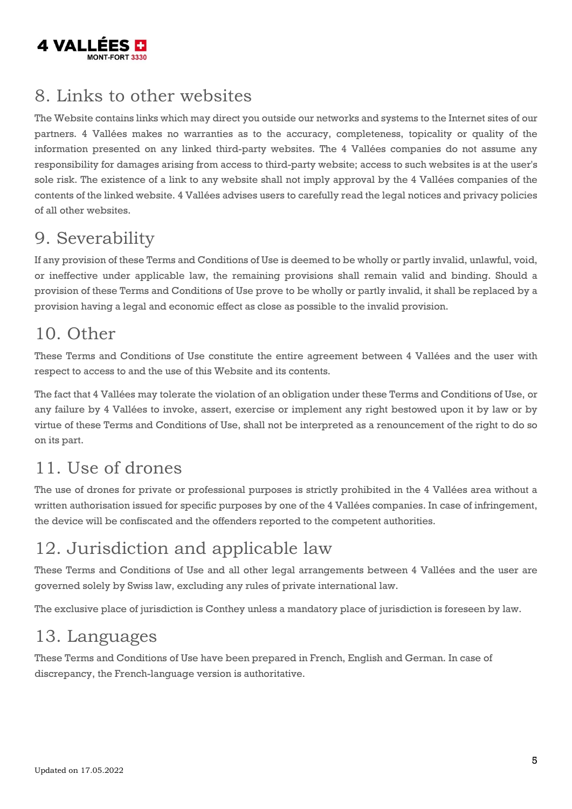

#### <span id="page-4-0"></span>8. Links to other websites

The Website contains links which may direct you outside our networks and systems to the Internet sites of our partners. 4 Vallées makes no warranties as to the accuracy, completeness, topicality or quality of the information presented on any linked third-party websites. The 4 Vallées companies do not assume any responsibility for damages arising from access to third-party website; access to such websites is at the user's sole risk. The existence of a link to any website shall not imply approval by the 4 Vallées companies of the contents of the linked website. 4 Vallées advises users to carefully read the legal notices and privacy policies of all other websites.

#### <span id="page-4-1"></span>9. Severability

If any provision of these Terms and Conditions of Use is deemed to be wholly or partly invalid, unlawful, void, or ineffective under applicable law, the remaining provisions shall remain valid and binding. Should a provision of these Terms and Conditions of Use prove to be wholly or partly invalid, it shall be replaced by a provision having a legal and economic effect as close as possible to the invalid provision.

### <span id="page-4-2"></span>10. Other

These Terms and Conditions of Use constitute the entire agreement between 4 Vallées and the user with respect to access to and the use of this Website and its contents.

The fact that 4 Vallées may tolerate the violation of an obligation under these Terms and Conditions of Use, or any failure by 4 Vallées to invoke, assert, exercise or implement any right bestowed upon it by law or by virtue of these Terms and Conditions of Use, shall not be interpreted as a renouncement of the right to do so on its part.

### <span id="page-4-3"></span>11. Use of drones

The use of drones for private or professional purposes is strictly prohibited in the 4 Vallées area without a written authorisation issued for specific purposes by one of the 4 Vallées companies. In case of infringement, the device will be confiscated and the offenders reported to the competent authorities.

### <span id="page-4-4"></span>12. Jurisdiction and applicable law

These Terms and Conditions of Use and all other legal arrangements between 4 Vallées and the user are governed solely by Swiss law, excluding any rules of private international law.

The exclusive place of jurisdiction is Conthey unless a mandatory place of jurisdiction is foreseen by law.

### <span id="page-4-5"></span>13. Languages

These Terms and Conditions of Use have been prepared in French, English and German. In case of discrepancy, the French-language version is authoritative.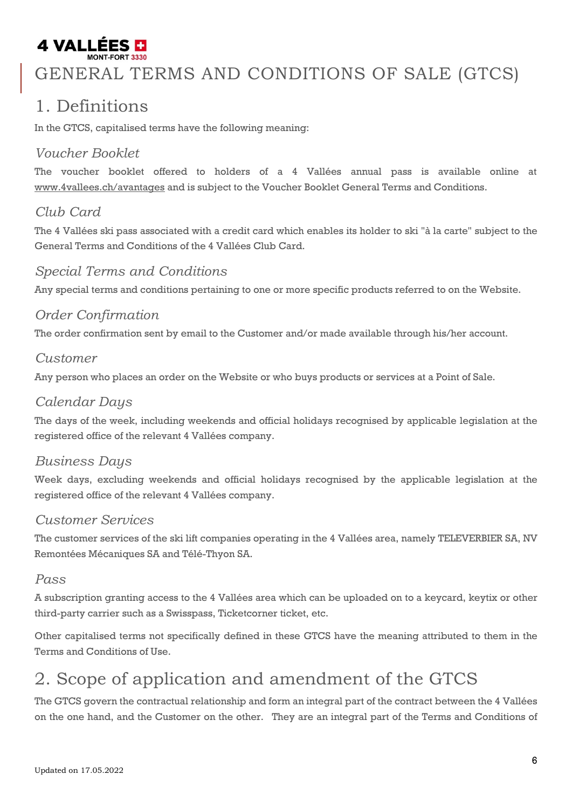# 4 VALLÉES **D**

### <span id="page-5-0"></span>GENERAL TERMS AND CONDITIONS OF SALE (GTCS)

#### <span id="page-5-1"></span>1. Definitions

In the GTCS, capitalised terms have the following meaning:

#### *Voucher Booklet*

The voucher booklet offered to holders of a 4 Vallées annual pass is available online at [www.4vallees.ch/avantages](http://www.4vallees.ch/avantages) and is subject to the Voucher Booklet General Terms and Conditions.

#### *Club Card*

The 4 Vallées ski pass associated with a credit card which enables its holder to ski "à la carte" subject to the General Terms and Conditions of the 4 Vallées Club Card.

#### *Special Terms and Conditions*

Any special terms and conditions pertaining to one or more specific products referred to on the Website.

#### *Order Confirmation*

The order confirmation sent by email to the Customer and/or made available through his/her account.

#### *Customer*

Any person who places an order on the Website or who buys products or services at a Point of Sale.

#### *Calendar Days*

The days of the week, including weekends and official holidays recognised by applicable legislation at the registered office of the relevant 4 Vallées company.

#### *Business Days*

Week days, excluding weekends and official holidays recognised by the applicable legislation at the registered office of the relevant 4 Vallées company.

#### *Customer Services*

The customer services of the ski lift companies operating in the 4 Vallées area, namely TELEVERBIER SA, NV Remontées Mécaniques SA and Télé-Thyon SA.

#### *Pass*

A subscription granting access to the 4 Vallées area which can be uploaded on to a keycard, keytix or other third-party carrier such as a Swisspass, Ticketcorner ticket, etc.

Other capitalised terms not specifically defined in these GTCS have the meaning attributed to them in the Terms and Conditions of Use.

#### <span id="page-5-2"></span>2. Scope of application and amendment of the GTCS

The GTCS govern the contractual relationship and form an integral part of the contract between the 4 Vallées on the one hand, and the Customer on the other. They are an integral part of the Terms and Conditions of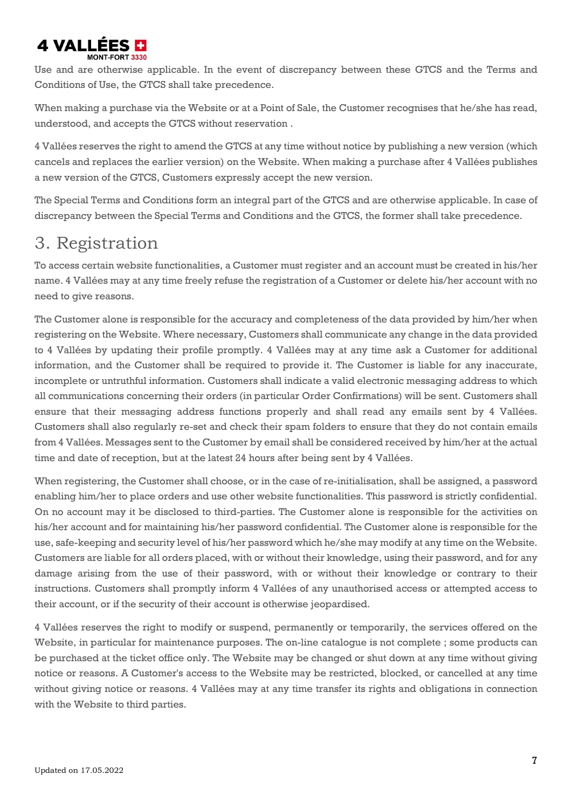# 4 VALLÉES EI

Use and are otherwise applicable. In the event of discrepancy between these GTCS and the Terms and Conditions of Use, the GTCS shall take precedence.

When making a purchase via the Website or at a Point of Sale, the Customer recognises that he/she has read, understood, and accepts the GTCS without reservation .

4 Vallées reserves the right to amend the GTCS at any time without notice by publishing a new version (which cancels and replaces the earlier version) on the Website. When making a purchase after 4 Vallées publishes a new version of the GTCS, Customers expressly accept the new version.

The Special Terms and Conditions form an integral part of the GTCS and are otherwise applicable. In case of discrepancy between the Special Terms and Conditions and the GTCS, the former shall take precedence.

#### <span id="page-6-0"></span>3. Registration

To access certain website functionalities, a Customer must register and an account must be created in his/her name. 4 Vallées may at any time freely refuse the registration of a Customer or delete his/her account with no need to give reasons.

The Customer alone is responsible for the accuracy and completeness of the data provided by him/her when registering on the Website. Where necessary, Customers shall communicate any change in the data provided to 4 Vallées by updating their profile promptly. 4 Vallées may at any time ask a Customer for additional information, and the Customer shall be required to provide it. The Customer is liable for any inaccurate, incomplete or untruthful information. Customers shall indicate a valid electronic messaging address to which all communications concerning their orders (in particular Order Confirmations) will be sent. Customers shall ensure that their messaging address functions properly and shall read any emails sent by 4 Vallées. Customers shall also regularly re-set and check their spam folders to ensure that they do not contain emails from 4 Vallées. Messages sent to the Customer by email shall be considered received by him/her at the actual time and date of reception, but at the latest 24 hours after being sent by 4 Vallées.

When registering, the Customer shall choose, or in the case of re-initialisation, shall be assigned, a password enabling him/her to place orders and use other website functionalities. This password is strictly confidential. On no account may it be disclosed to third-parties. The Customer alone is responsible for the activities on his/her account and for maintaining his/her password confidential. The Customer alone is responsible for the use, safe-keeping and security level of his/her password which he/she may modify at any time on the Website. Customers are liable for all orders placed, with or without their knowledge, using their password, and for any damage arising from the use of their password, with or without their knowledge or contrary to their instructions. Customers shall promptly inform 4 Vallées of any unauthorised access or attempted access to their account, or if the security of their account is otherwise jeopardised.

4 Vallées reserves the right to modify or suspend, permanently or temporarily, the services offered on the Website, in particular for maintenance purposes. The on-line catalogue is not complete ; some products can be purchased at the ticket office only. The Website may be changed or shut down at any time without giving notice or reasons. A Customer's access to the Website may be restricted, blocked, or cancelled at any time without giving notice or reasons. 4 Vallées may at any time transfer its rights and obligations in connection with the Website to third parties.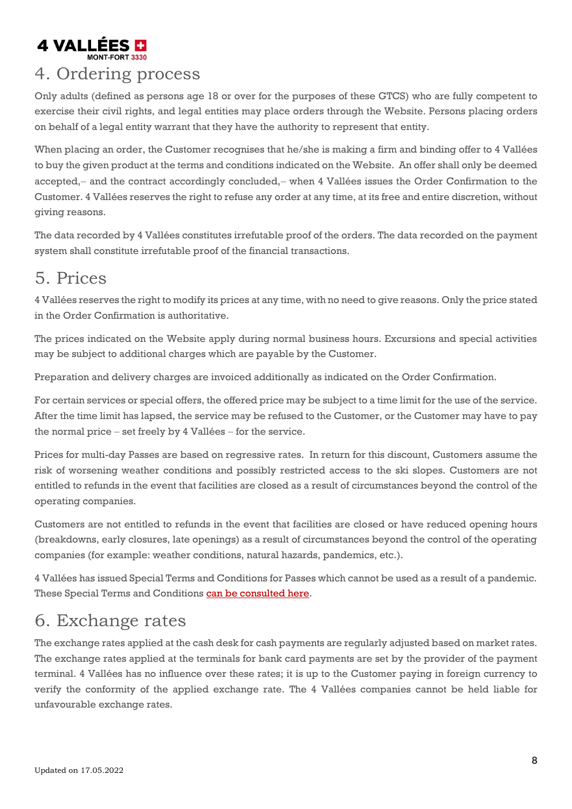# 4 VALLÉES <mark>D</mark>

#### <span id="page-7-0"></span>4. Ordering process

Only adults (defined as persons age 18 or over for the purposes of these GTCS) who are fully competent to exercise their civil rights, and legal entities may place orders through the Website. Persons placing orders on behalf of a legal entity warrant that they have the authority to represent that entity.

When placing an order, the Customer recognises that he/she is making a firm and binding offer to 4 Vallées to buy the given product at the terms and conditions indicated on the Website. An offer shall only be deemed accepted,− and the contract accordingly concluded,− when 4 Vallées issues the Order Confirmation to the Customer. 4 Vallées reserves the right to refuse any order at any time, at its free and entire discretion, without giving reasons.

The data recorded by 4 Vallées constitutes irrefutable proof of the orders. The data recorded on the payment system shall constitute irrefutable proof of the financial transactions.

#### <span id="page-7-1"></span>5. Prices

4 Vallées reserves the right to modify its prices at any time, with no need to give reasons. Only the price stated in the Order Confirmation is authoritative.

The prices indicated on the Website apply during normal business hours. Excursions and special activities may be subject to additional charges which are payable by the Customer.

Preparation and delivery charges are invoiced additionally as indicated on the Order Confirmation.

For certain services or special offers, the offered price may be subject to a time limit for the use of the service. After the time limit has lapsed, the service may be refused to the Customer, or the Customer may have to pay the normal price − set freely by 4 Vallées − for the service.

Prices for multi-day Passes are based on regressive rates. In return for this discount, Customers assume the risk of worsening weather conditions and possibly restricted access to the ski slopes. Customers are not entitled to refunds in the event that facilities are closed as a result of circumstances beyond the control of the operating companies.

Customers are not entitled to refunds in the event that facilities are closed or have reduced opening hours (breakdowns, early closures, late openings) as a result of circumstances beyond the control of the operating companies (for example: weather conditions, natural hazards, pandemics, etc.).

4 Vallées has issued Special Terms and Conditions for Passes which cannot be used as a result of a pandemic. These Special Terms and Conditions [can be consulted here.](http://www.4vallees.ch/UserFiles/File/organisme/UserFiles-nvrm/File/Conditions_generales_pandemie_EN.pdf)

#### <span id="page-7-2"></span>6. Exchange rates

The exchange rates applied at the cash desk for cash payments are regularly adjusted based on market rates. The exchange rates applied at the terminals for bank card payments are set by the provider of the payment terminal. 4 Vallées has no influence over these rates; it is up to the Customer paying in foreign currency to verify the conformity of the applied exchange rate. The 4 Vallées companies cannot be held liable for unfavourable exchange rates.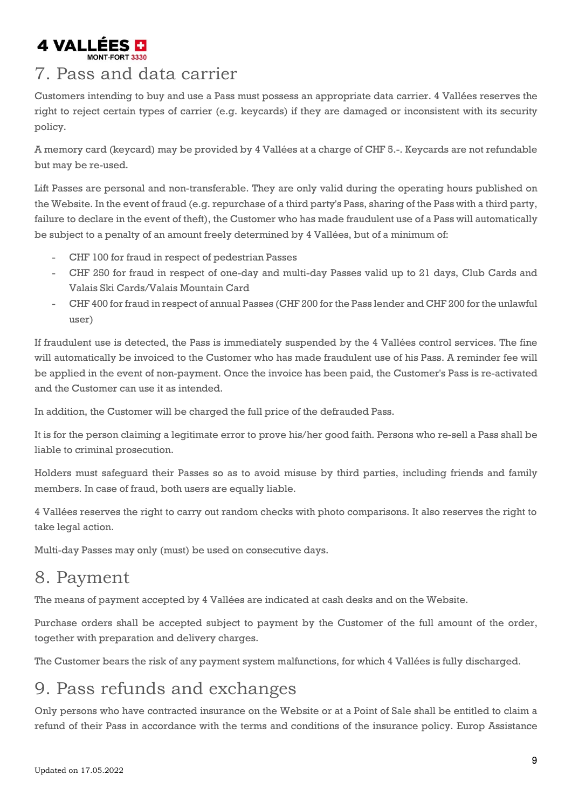

#### <span id="page-8-0"></span>7. Pass and data carrier

Customers intending to buy and use a Pass must possess an appropriate data carrier. 4 Vallées reserves the right to reject certain types of carrier (e.g. keycards) if they are damaged or inconsistent with its security policy.

A memory card (keycard) may be provided by 4 Vallées at a charge of CHF 5.-. Keycards are not refundable but may be re-used.

Lift Passes are personal and non-transferable. They are only valid during the operating hours published on the Website. In the event of fraud (e.g. repurchase of a third party's Pass, sharing of the Pass with a third party, failure to declare in the event of theft), the Customer who has made fraudulent use of a Pass will automatically be subject to a penalty of an amount freely determined by 4 Vallées, but of a minimum of:

- CHF 100 for fraud in respect of pedestrian Passes
- CHF 250 for fraud in respect of one-day and multi-day Passes valid up to 21 days, Club Cards and Valais Ski Cards/Valais Mountain Card
- CHF 400 for fraud in respect of annual Passes (CHF 200 for the Pass lender and CHF 200 for the unlawful user)

If fraudulent use is detected, the Pass is immediately suspended by the 4 Vallées control services. The fine will automatically be invoiced to the Customer who has made fraudulent use of his Pass. A reminder fee will be applied in the event of non-payment. Once the invoice has been paid, the Customer's Pass is re-activated and the Customer can use it as intended.

In addition, the Customer will be charged the full price of the defrauded Pass.

It is for the person claiming a legitimate error to prove his/her good faith. Persons who re-sell a Pass shall be liable to criminal prosecution.

Holders must safeguard their Passes so as to avoid misuse by third parties, including friends and family members. In case of fraud, both users are equally liable.

4 Vallées reserves the right to carry out random checks with photo comparisons. It also reserves the right to take legal action.

Multi-day Passes may only (must) be used on consecutive days.

#### <span id="page-8-1"></span>8. Payment

The means of payment accepted by 4 Vallées are indicated at cash desks and on the Website.

Purchase orders shall be accepted subject to payment by the Customer of the full amount of the order, together with preparation and delivery charges.

The Customer bears the risk of any payment system malfunctions, for which 4 Vallées is fully discharged.

#### <span id="page-8-2"></span>9. Pass refunds and exchanges

Only persons who have contracted insurance on the Website or at a Point of Sale shall be entitled to claim a refund of their Pass in accordance with the terms and conditions of the insurance policy. Europ Assistance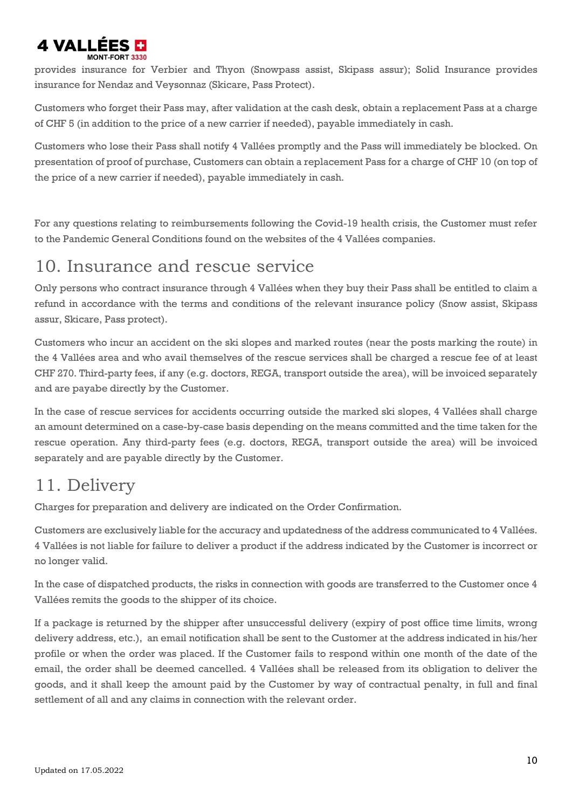# 4 VALLÉES E

provides insurance for Verbier and Thyon (Snowpass assist, Skipass assur); Solid Insurance provides insurance for Nendaz and Veysonnaz (Skicare, Pass Protect).

Customers who forget their Pass may, after validation at the cash desk, obtain a replacement Pass at a charge of CHF 5 (in addition to the price of a new carrier if needed), payable immediately in cash.

Customers who lose their Pass shall notify 4 Vallées promptly and the Pass will immediately be blocked. On presentation of proof of purchase, Customers can obtain a replacement Pass for a charge of CHF 10 (on top of the price of a new carrier if needed), payable immediately in cash.

For any questions relating to reimbursements following the Covid-19 health crisis, the Customer must refer to the Pandemic General Conditions found on the websites of the 4 Vallées companies.

#### <span id="page-9-0"></span>10. Insurance and rescue service

Only persons who contract insurance through 4 Vallées when they buy their Pass shall be entitled to claim a refund in accordance with the terms and conditions of the relevant insurance policy (Snow assist, Skipass assur, Skicare, Pass protect).

Customers who incur an accident on the ski slopes and marked routes (near the posts marking the route) in the 4 Vallées area and who avail themselves of the rescue services shall be charged a rescue fee of at least CHF 270. Third-party fees, if any (e.g. doctors, REGA, transport outside the area), will be invoiced separately and are payabe directly by the Customer.

In the case of rescue services for accidents occurring outside the marked ski slopes, 4 Vallées shall charge an amount determined on a case-by-case basis depending on the means committed and the time taken for the rescue operation. Any third-party fees (e.g. doctors, REGA, transport outside the area) will be invoiced separately and are payable directly by the Customer.

#### <span id="page-9-1"></span>11. Delivery

Charges for preparation and delivery are indicated on the Order Confirmation.

Customers are exclusively liable for the accuracy and updatedness of the address communicated to 4 Vallées. 4 Vallées is not liable for failure to deliver a product if the address indicated by the Customer is incorrect or no longer valid.

In the case of dispatched products, the risks in connection with goods are transferred to the Customer once 4 Vallées remits the goods to the shipper of its choice.

If a package is returned by the shipper after unsuccessful delivery (expiry of post office time limits, wrong delivery address, etc.), an email notification shall be sent to the Customer at the address indicated in his/her profile or when the order was placed. If the Customer fails to respond within one month of the date of the email, the order shall be deemed cancelled. 4 Vallées shall be released from its obligation to deliver the goods, and it shall keep the amount paid by the Customer by way of contractual penalty, in full and final settlement of all and any claims in connection with the relevant order.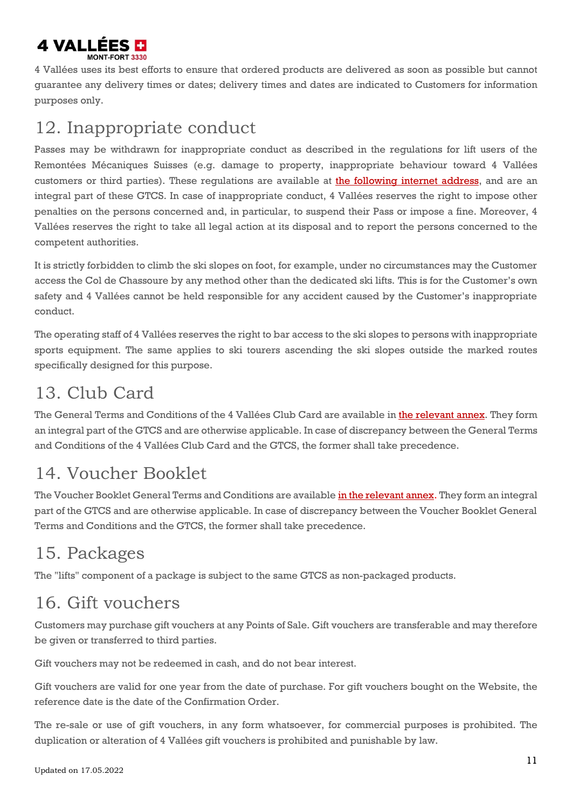

4 Vallées uses its best efforts to ensure that ordered products are delivered as soon as possible but cannot guarantee any delivery times or dates; delivery times and dates are indicated to Customers for information purposes only.

#### <span id="page-10-0"></span>12. Inappropriate conduct

Passes may be withdrawn for inappropriate conduct as described in the regulations for lift users of the Remontées Mécaniques Suisses (e.g. damage to property, inappropriate behaviour toward 4 Vallées customers or third parties). These regulations are available at the [following](http://4vallees.ch/UserFiles/File/organisme/UserFiles-4vallees/File/Comportement_des_usagers_EN.pdf) internet address, and are an integral part of these GTCS. In case of inappropriate conduct, 4 Vallées reserves the right to impose other penalties on the persons concerned and, in particular, to suspend their Pass or impose a fine. Moreover, 4 Vallées reserves the right to take all legal action at its disposal and to report the persons concerned to the competent authorities.

It is strictly forbidden to climb the ski slopes on foot, for example, under no circumstances may the Customer access the Col de Chassoure by any method other than the dedicated ski lifts. This is for the Customer's own safety and 4 Vallées cannot be held responsible for any accident caused by the Customer's inappropriate conduct.

The operating staff of 4 Vallées reserves the right to bar access to the ski slopes to persons with inappropriate sports equipment. The same applies to ski tourers ascending the ski slopes outside the marked routes specifically designed for this purpose.

### <span id="page-10-1"></span>13. Club Card

The General Terms and Conditions of the 4 Vallées Club Card are available in the [relevant](http://4vallees.ch/UserFiles/File/organisme/UserFiles-4vallees/File/Conditions_generales_Carte_Club_EN.pdf) annex. They form an integral part of the GTCS and are otherwise applicable. In case of discrepancy between the General Terms and Conditions of the 4 Vallées Club Card and the GTCS, the former shall take precedence.

### <span id="page-10-2"></span>14. Voucher Booklet

The Voucher Booklet General Terms and Conditions are available [in the relevant annex.](http://www.4vallees.ch/UserFiles/File/organisme/UserFiles-4vallees/File/Conditions_generales_avantages_EN.pdf) They form an integral part of the GTCS and are otherwise applicable. In case of discrepancy between the Voucher Booklet General Terms and Conditions and the GTCS, the former shall take precedence.

### <span id="page-10-3"></span>15. Packages

The "lifts" component of a package is subject to the same GTCS as non-packaged products.

### <span id="page-10-4"></span>16. Gift vouchers

Customers may purchase gift vouchers at any Points of Sale. Gift vouchers are transferable and may therefore be given or transferred to third parties.

Gift vouchers may not be redeemed in cash, and do not bear interest.

Gift vouchers are valid for one year from the date of purchase. For gift vouchers bought on the Website, the reference date is the date of the Confirmation Order.

The re-sale or use of gift vouchers, in any form whatsoever, for commercial purposes is prohibited. The duplication or alteration of 4 Vallées gift vouchers is prohibited and punishable by law.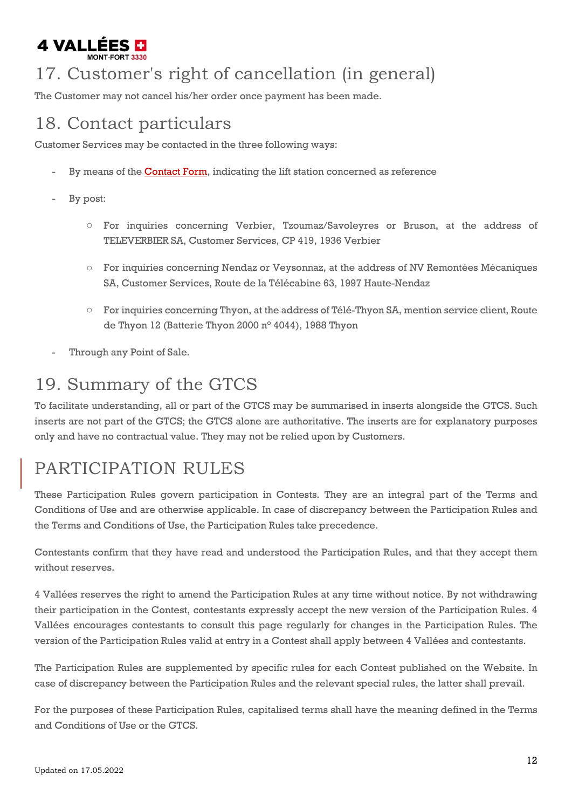

### <span id="page-11-0"></span>17. Customer's right of cancellation (in general)

The Customer may not cancel his/her order once payment has been made.

#### <span id="page-11-1"></span>18. Contact particulars

Customer Services may be contacted in the three following ways:

- By means of the **[Contact](http://www.4vallees.ch/en/service-client.htm) Form**, indicating the lift station concerned as reference
- By post:
	- o For inquiries concerning Verbier, Tzoumaz/Savoleyres or Bruson, at the address of TELEVERBIER SA, Customer Services, CP 419, 1936 Verbier
	- o For inquiries concerning Nendaz or Veysonnaz, at the address of NV Remontées Mécaniques SA, Customer Services, Route de la Télécabine 63, 1997 Haute-Nendaz
	- o For inquiries concerning Thyon, at the address of Télé-Thyon SA, mention service client, Route de Thyon 12 (Batterie Thyon 2000 n° 4044), 1988 Thyon
- Through any Point of Sale.

#### <span id="page-11-2"></span>19. Summary of the GTCS

To facilitate understanding, all or part of the GTCS may be summarised in inserts alongside the GTCS. Such inserts are not part of the GTCS; the GTCS alone are authoritative. The inserts are for explanatory purposes only and have no contractual value. They may not be relied upon by Customers.

# <span id="page-11-3"></span>PARTICIPATION RULES

These Participation Rules govern participation in Contests. They are an integral part of the Terms and Conditions of Use and are otherwise applicable. In case of discrepancy between the Participation Rules and the Terms and Conditions of Use, the Participation Rules take precedence.

Contestants confirm that they have read and understood the Participation Rules, and that they accept them without reserves.

4 Vallées reserves the right to amend the Participation Rules at any time without notice. By not withdrawing their participation in the Contest, contestants expressly accept the new version of the Participation Rules. 4 Vallées encourages contestants to consult this page regularly for changes in the Participation Rules. The version of the Participation Rules valid at entry in a Contest shall apply between 4 Vallées and contestants.

The Participation Rules are supplemented by specific rules for each Contest published on the Website. In case of discrepancy between the Participation Rules and the relevant special rules, the latter shall prevail.

For the purposes of these Participation Rules, capitalised terms shall have the meaning defined in the Terms and Conditions of Use or the GTCS.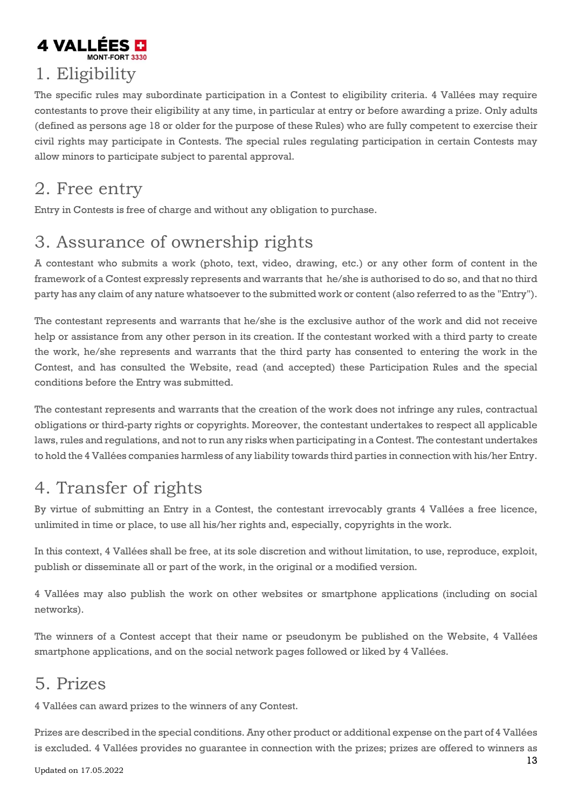# 4 VALLÉES E 1. Eligibility

<span id="page-12-0"></span>The specific rules may subordinate participation in a Contest to eligibility criteria. 4 Vallées may require contestants to prove their eligibility at any time, in particular at entry or before awarding a prize. Only adults (defined as persons age 18 or older for the purpose of these Rules) who are fully competent to exercise their civil rights may participate in Contests. The special rules regulating participation in certain Contests may allow minors to participate subject to parental approval.

### <span id="page-12-1"></span>2. Free entry

Entry in Contests is free of charge and without any obligation to purchase.

### <span id="page-12-2"></span>3. Assurance of ownership rights

A contestant who submits a work (photo, text, video, drawing, etc.) or any other form of content in the framework of a Contest expressly represents and warrants that he/she is authorised to do so, and that no third party has any claim of any nature whatsoever to the submitted work or content (also referred to as the "Entry").

The contestant represents and warrants that he/she is the exclusive author of the work and did not receive help or assistance from any other person in its creation. If the contestant worked with a third party to create the work, he/she represents and warrants that the third party has consented to entering the work in the Contest, and has consulted the Website, read (and accepted) these Participation Rules and the special conditions before the Entry was submitted.

The contestant represents and warrants that the creation of the work does not infringe any rules, contractual obligations or third-party rights or copyrights. Moreover, the contestant undertakes to respect all applicable laws, rules and regulations, and not to run any risks when participating in a Contest. The contestant undertakes to hold the 4 Vallées companies harmless of any liability towards third parties in connection with his/her Entry.

### <span id="page-12-3"></span>4. Transfer of rights

By virtue of submitting an Entry in a Contest, the contestant irrevocably grants 4 Vallées a free licence, unlimited in time or place, to use all his/her rights and, especially, copyrights in the work.

In this context, 4 Vallées shall be free, at its sole discretion and without limitation, to use, reproduce, exploit, publish or disseminate all or part of the work, in the original or a modified version.

4 Vallées may also publish the work on other websites or smartphone applications (including on social networks).

The winners of a Contest accept that their name or pseudonym be published on the Website, 4 Vallées smartphone applications, and on the social network pages followed or liked by 4 Vallées.

### <span id="page-12-4"></span>5. Prizes

4 Vallées can award prizes to the winners of any Contest.

Prizes are described in the special conditions. Any other product or additional expense on the part of 4 Vallées is excluded. 4 Vallées provides no guarantee in connection with the prizes; prizes are offered to winners as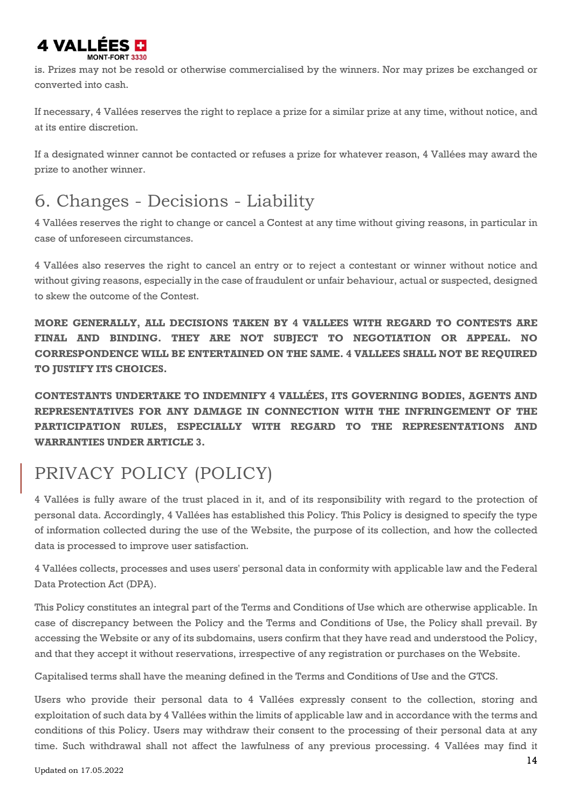# **4 VALLEES D**

is. Prizes may not be resold or otherwise commercialised by the winners. Nor may prizes be exchanged or converted into cash.

If necessary, 4 Vallées reserves the right to replace a prize for a similar prize at any time, without notice, and at its entire discretion.

If a designated winner cannot be contacted or refuses a prize for whatever reason, 4 Vallées may award the prize to another winner.

### <span id="page-13-0"></span>6. Changes - Decisions - Liability

4 Vallées reserves the right to change or cancel a Contest at any time without giving reasons, in particular in case of unforeseen circumstances.

4 Vallées also reserves the right to cancel an entry or to reject a contestant or winner without notice and without giving reasons, especially in the case of fraudulent or unfair behaviour, actual or suspected, designed to skew the outcome of the Contest.

**MORE GENERALLY, ALL DECISIONS TAKEN BY 4 VALLEES WITH REGARD TO CONTESTS ARE FINAL AND BINDING. THEY ARE NOT SUBJECT TO NEGOTIATION OR APPEAL. NO CORRESPONDENCE WILL BE ENTERTAINED ON THE SAME. 4 VALLEES SHALL NOT BE REQUIRED TO JUSTIFY ITS CHOICES.**

**CONTESTANTS UNDERTAKE TO INDEMNIFY 4 VALLÉES, ITS GOVERNING BODIES, AGENTS AND REPRESENTATIVES FOR ANY DAMAGE IN CONNECTION WITH THE INFRINGEMENT OF THE PARTICIPATION RULES, ESPECIALLY WITH REGARD TO THE REPRESENTATIONS AND WARRANTIES UNDER ARTICLE 3.**

# <span id="page-13-1"></span>PRIVACY POLICY (POLICY)

4 Vallées is fully aware of the trust placed in it, and of its responsibility with regard to the protection of personal data. Accordingly, 4 Vallées has established this Policy. This Policy is designed to specify the type of information collected during the use of the Website, the purpose of its collection, and how the collected data is processed to improve user satisfaction.

4 Vallées collects, processes and uses users' personal data in conformity with applicable law and the Federal Data Protection Act (DPA).

This Policy constitutes an integral part of the Terms and Conditions of Use which are otherwise applicable. In case of discrepancy between the Policy and the Terms and Conditions of Use, the Policy shall prevail. By accessing the Website or any of its subdomains, users confirm that they have read and understood the Policy, and that they accept it without reservations, irrespective of any registration or purchases on the Website.

Capitalised terms shall have the meaning defined in the Terms and Conditions of Use and the GTCS.

Users who provide their personal data to 4 Vallées expressly consent to the collection, storing and exploitation of such data by 4 Vallées within the limits of applicable law and in accordance with the terms and conditions of this Policy. Users may withdraw their consent to the processing of their personal data at any time. Such withdrawal shall not affect the lawfulness of any previous processing. 4 Vallées may find it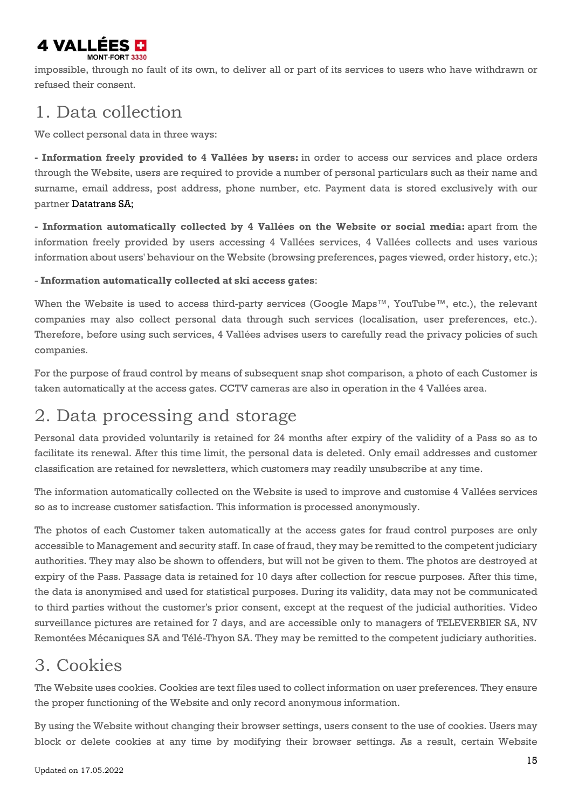

impossible, through no fault of its own, to deliver all or part of its services to users who have withdrawn or refused their consent.

#### <span id="page-14-0"></span>1. Data collection

We collect personal data in three ways:

**- Information freely provided to 4 Vallées by users:** in order to access our services and place orders through the Website, users are required to provide a number of personal particulars such as their name and surname, email address, post address, phone number, etc. Payment data is stored exclusively with our partner Datatrans SA;

**- Information automatically collected by 4 Vallées on the Website or social media:** apart from the information freely provided by users accessing 4 Vallées services, 4 Vallées collects and uses various information about users' behaviour on the Website (browsing preferences, pages viewed, order history, etc.);

- **Information automatically collected at ski access gates**:

When the Website is used to access third-party services (Google Maps<sup>™</sup>, YouTube™, etc.), the relevant companies may also collect personal data through such services (localisation, user preferences, etc.). Therefore, before using such services, 4 Vallées advises users to carefully read the privacy policies of such companies.

For the purpose of fraud control by means of subsequent snap shot comparison, a photo of each Customer is taken automatically at the access gates. CCTV cameras are also in operation in the 4 Vallées area.

#### <span id="page-14-1"></span>2. Data processing and storage

Personal data provided voluntarily is retained for 24 months after expiry of the validity of a Pass so as to facilitate its renewal. After this time limit, the personal data is deleted. Only email addresses and customer classification are retained for newsletters, which customers may readily unsubscribe at any time.

The information automatically collected on the Website is used to improve and customise 4 Vallées services so as to increase customer satisfaction. This information is processed anonymously.

The photos of each Customer taken automatically at the access gates for fraud control purposes are only accessible to Management and security staff. In case of fraud, they may be remitted to the competent judiciary authorities. They may also be shown to offenders, but will not be given to them. The photos are destroyed at expiry of the Pass. Passage data is retained for 10 days after collection for rescue purposes. After this time, the data is anonymised and used for statistical purposes. During its validity, data may not be communicated to third parties without the customer's prior consent, except at the request of the judicial authorities. Video surveillance pictures are retained for 7 days, and are accessible only to managers of TELEVERBIER SA, NV Remontées Mécaniques SA and Télé-Thyon SA. They may be remitted to the competent judiciary authorities.

#### <span id="page-14-2"></span>3. Cookies

The Website uses cookies. Cookies are text files used to collect information on user preferences. They ensure the proper functioning of the Website and only record anonymous information.

By using the Website without changing their browser settings, users consent to the use of cookies. Users may block or delete cookies at any time by modifying their browser settings. As a result, certain Website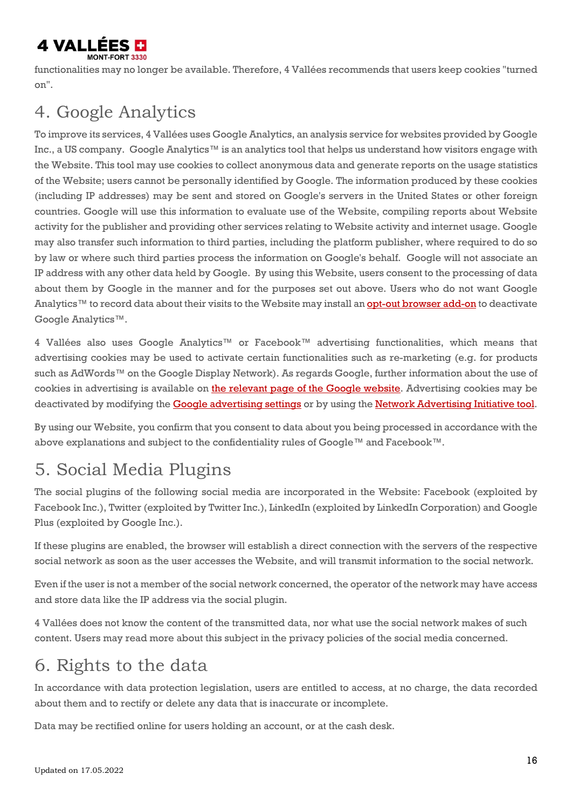

functionalities may no longer be available. Therefore, 4 Vallées recommends that users keep cookies "turned on".

### <span id="page-15-0"></span>4. Google Analytics

To improve its services, 4 Vallées uses Google Analytics, an analysis service for websites provided by Google Inc., a US company. Google Analytics™ is an analytics tool that helps us understand how visitors engage with the Website. This tool may use cookies to collect anonymous data and generate reports on the usage statistics of the Website; users cannot be personally identified by Google. The information produced by these cookies (including IP addresses) may be sent and stored on Google's servers in the United States or other foreign countries. Google will use this information to evaluate use of the Website, compiling reports about Website activity for the publisher and providing other services relating to Website activity and internet usage. Google may also transfer such information to third parties, including the platform publisher, where required to do so by law or where such third parties process the information on Google's behalf. Google will not associate an IP address with any other data held by Google. By using this Website, users consent to the processing of data about them by Google in the manner and for the purposes set out above. Users who do not want Google Analytics™ to record data about their visits to the Website may install an **opt-out [browser](https://tools.google.com/dlpage/gaoptout?hl=fr) add-on** to deactivate Google Analytics™.

4 Vallées also uses Google Analytics™ or Facebook™ advertising functionalities, which means that advertising cookies may be used to activate certain functionalities such as re-marketing (e.g. for products such as AdWords™ on the Google Display Network). As regards Google, further information about the use of cookies in advertising is available on the relevant page of the Google website. Advertising cookies may be deactivated by modifying the Google [advertising](https://support.google.com/ads/answer/2662922?hl=fr) settings or by using the Network [Advertising](http://www.networkadvertising.org/choices/) Initiative tool.

By using our Website, you confirm that you consent to data about you being processed in accordance with the above explanations and subject to the confidentiality rules of Google™ and Facebook™.

### <span id="page-15-1"></span>5. Social Media Plugins

The social plugins of the following social media are incorporated in the Website: Facebook (exploited by Facebook Inc.), Twitter (exploited by Twitter Inc.), LinkedIn (exploited by LinkedIn Corporation) and Google Plus (exploited by Google Inc.).

If these plugins are enabled, the browser will establish a direct connection with the servers of the respective social network as soon as the user accesses the Website, and will transmit information to the social network.

Even if the user is not a member of the social network concerned, the operator of the network may have access and store data like the IP address via the social plugin.

4 Vallées does not know the content of the transmitted data, nor what use the social network makes of such content. Users may read more about this subject in the privacy policies of the social media concerned.

### <span id="page-15-2"></span>6. Rights to the data

In accordance with data protection legislation, users are entitled to access, at no charge, the data recorded about them and to rectify or delete any data that is inaccurate or incomplete.

Data may be rectified online for users holding an account, or at the cash desk.